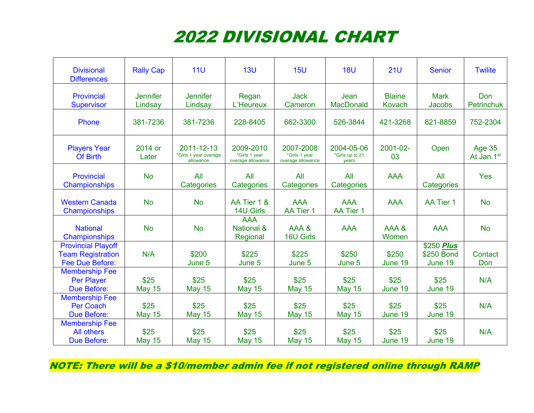## 2022 DIVISIONAL CHART

| <b>Divisional</b><br><b>Differences</b>                                  | <b>Rally Cap</b>           | 11 <sub>U</sub>                                  | 13U                                             | 15U                                             | <b>18U</b>                             | 21U                     | <b>Senior</b>                                   | <b>Twilite</b>              |
|--------------------------------------------------------------------------|----------------------------|--------------------------------------------------|-------------------------------------------------|-------------------------------------------------|----------------------------------------|-------------------------|-------------------------------------------------|-----------------------------|
| Provincial<br><b>Supervisor</b>                                          | <b>Jennifer</b><br>Lindsay | <b>Jennifer</b><br>Lindsay                       | Regan<br>L'Heureux                              | <b>Jack</b><br>Cameron                          | Jean<br><b>MacDonald</b>               | <b>Blaine</b><br>Kovach | <b>Mark</b><br>Jacobs                           | Don<br><b>Petrinchuk</b>    |
| Phone                                                                    | 381-7236                   | 381-7236                                         | 228-8405                                        | 662-3300                                        | 526-3844                               | 421-3268                | 621-8859                                        | 752-2304                    |
| <b>Players Year</b><br>Of Birth                                          | 2014 or<br>Later           | 2011-12-13<br>*Girls 1 year overage<br>allowance | 2009-2010<br>*Girls 1 year<br>overage allowance | 2007-2008<br>*Girls 1 year<br>overage allowance | 2004-05-06<br>*Girls up to 21<br>years | 2001-02-<br>03          | Open                                            | <b>Age 35</b><br>At Jan.1st |
| Provincial<br>Championships                                              | <b>No</b>                  | All<br>Categories                                | All<br>Categories                               | All<br>Categories                               | All<br>Categories                      | <b>AAA</b>              | All<br>Categories                               | <b>Yes</b>                  |
| <b>Western Canada</b><br>Championships                                   | <b>No</b>                  | <b>No</b>                                        | AA Tier 1 &<br>14U Girls                        | <b>AAA</b><br>AA Tier 1                         | <b>AAA</b><br>AA Tier 1                | <b>AAA</b>              | <b>AA Tier 1</b>                                | <b>No</b>                   |
| <b>National</b><br>Championships                                         | <b>No</b>                  | <b>No</b>                                        | <b>AAA</b><br><b>National &amp;</b><br>Regional | AAA&<br>16U Girls                               | <b>AAA</b>                             | AAA&<br>Women           | <b>AAA</b>                                      | <b>No</b>                   |
| <b>Provincial Playoff</b><br><b>Team Registration</b><br>Fee Due Before: | N/A                        | \$200<br>June 5                                  | \$225<br>June 5                                 | \$225<br>June 5                                 | \$250<br>June 5                        | \$250<br>June 19        | $\overline{$}250$ Plus<br>\$250 Bond<br>June 19 | Contact<br>Don              |
| <b>Membership Fee</b><br><b>Per Player</b><br><b>Due Before:</b>         | \$25<br><b>May 15</b>      | \$25<br><b>May 15</b>                            | \$25<br><b>May 15</b>                           | \$25<br><b>May 15</b>                           | \$25<br><b>May 15</b>                  | \$25<br>June 19         | \$25<br>June 19                                 | N/A                         |
| <b>Membership Fee</b><br><b>Per Coach</b><br><b>Due Before:</b>          | \$25<br><b>May 15</b>      | \$25<br><b>May 15</b>                            | \$25<br><b>May 15</b>                           | \$25<br><b>May 15</b>                           | \$25<br><b>May 15</b>                  | \$25<br>June 19         | \$25<br>June 19                                 | N/A                         |
| <b>Membership Fee</b><br>All others<br><b>Due Before:</b>                | \$25<br><b>May 15</b>      | \$25<br><b>May 15</b>                            | \$25<br><b>May 15</b>                           | \$25<br><b>May 15</b>                           | \$25<br><b>May 15</b>                  | \$25<br>June 19         | \$25<br>June 19                                 | N/A                         |

NOTE: There will be a \$10/member admin fee if not registered online through RAMP